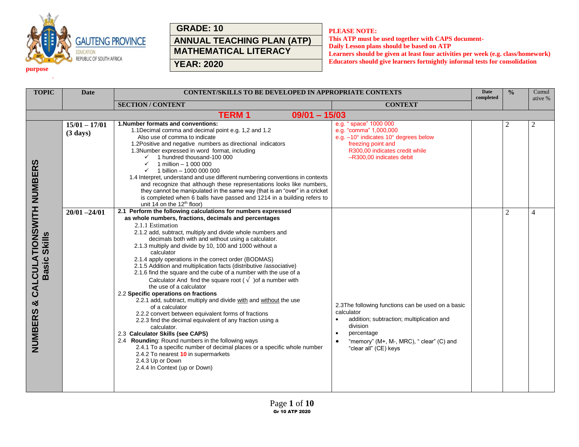

## **GRADE: 10 ANNUAL TEACHING PLAN (ATP) MATHEMATICAL LITERACY**

**PLEASE NOTE:**

**This ATP must be used together with CAPS document-Daily Lesson plans should be based on ATP Learners should be given at least four activities per week (e.g. class/homework) Educators should give learners fortnightly informal tests for consolidation** 

| ____ |
|------|

.

**YEAR: 2020**

| <b>TOPIC</b>                                                                             | <b>Date</b>                           | CONTENT/SKILLS TO BE DEVELOPED IN APPROPRIATE CONTEXTS                                                                                                                                                                                                                                                                                                                                                                                                                                                                                                                                                                                                                                                                                                                                                                                                                                                                                                                                                                                                                                                                                                                         |                                                                                                                                                                                                                                       | <b>Date</b><br>completed | $\frac{0}{0}$  | Cumul<br>ative % |
|------------------------------------------------------------------------------------------|---------------------------------------|--------------------------------------------------------------------------------------------------------------------------------------------------------------------------------------------------------------------------------------------------------------------------------------------------------------------------------------------------------------------------------------------------------------------------------------------------------------------------------------------------------------------------------------------------------------------------------------------------------------------------------------------------------------------------------------------------------------------------------------------------------------------------------------------------------------------------------------------------------------------------------------------------------------------------------------------------------------------------------------------------------------------------------------------------------------------------------------------------------------------------------------------------------------------------------|---------------------------------------------------------------------------------------------------------------------------------------------------------------------------------------------------------------------------------------|--------------------------|----------------|------------------|
|                                                                                          |                                       | <b>SECTION/CONTENT</b>                                                                                                                                                                                                                                                                                                                                                                                                                                                                                                                                                                                                                                                                                                                                                                                                                                                                                                                                                                                                                                                                                                                                                         | <b>CONTEXT</b>                                                                                                                                                                                                                        |                          |                |                  |
|                                                                                          |                                       | <b>TERM1</b><br>$09/01 - 15/03$                                                                                                                                                                                                                                                                                                                                                                                                                                                                                                                                                                                                                                                                                                                                                                                                                                                                                                                                                                                                                                                                                                                                                |                                                                                                                                                                                                                                       |                          |                |                  |
|                                                                                          | $15/01 - 17/01$<br>$(3 \text{ days})$ | 1. Number formats and conventions:<br>1.1Decimal comma and decimal point e.g. 1,2 and 1.2<br>Also use of comma to indicate<br>1.2Positive and negative numbers as directional indicators<br>1.3Number expressed in word format, including<br>1 hundred thousand-100 000<br>1 million - 1 000 000<br>✓<br>1 billion - 1000 000 000<br>$\checkmark$<br>1.4 Interpret, understand and use different numbering conventions in contexts<br>and recognize that although these representations looks like numbers,<br>they cannot be manipulated in the same way (that is an "over" in a cricket<br>is completed when 6 balls have passed and 1214 in a building refers to<br>unit 14 on the $12th$ floor)                                                                                                                                                                                                                                                                                                                                                                                                                                                                            | e.g. "space" 1000 000<br>e.g. "comma" 1,000,000<br>e.g. -10° indicates 10° degrees below<br>freezing point and<br>R300,00 indicates credit while<br>-R300,00 indicates debit                                                          |                          |                | $\overline{2}$   |
| <b>CALCULATIONSWITH NUMBERS</b><br><b>Skills</b><br><b>Basic</b><br>×්<br><b>NUMBERS</b> | $20/01 - 24/01$                       | 2.1 Perform the following calculations for numbers expressed<br>as whole numbers, fractions, decimals and percentages<br>2.1.1 Estimation<br>2.1.2 add, subtract, multiply and divide whole numbers and<br>decimals both with and without using a calculator.<br>2.1.3 multiply and divide by 10, 100 and 1000 without a<br>calculator<br>2.1.4 apply operations in the correct order (BODMAS)<br>2.1.5 Addition and multiplication facts (distributive /associative)<br>2.1.6 find the square and the cube of a number with the use of a<br>Calculator And find the square root ( $\sqrt{ }$ ) of a number with<br>the use of a calculator<br>2.2 Specific operations on fractions<br>2.2.1 add, subtract, multiply and divide with and without the use<br>of a calculator<br>2.2.2 convert between equivalent forms of fractions<br>2.2.3 find the decimal equivalent of any fraction using a<br>calculator.<br>2.3 Calculator Skills (see CAPS)<br>2.4 Rounding: Round numbers in the following ways<br>2.4.1 To a specific number of decimal places or a specific whole number<br>2.4.2 To nearest 10 in supermarkets<br>2.4.3 Up or Down<br>2.4.4 In Context (up or Down) | 2.3The following functions can be used on a basic<br>calculator<br>addition; subtraction; multiplication and<br>$\bullet$<br>division<br>percentage<br>$\bullet$<br>"memory" (M+, M-, MRC), " clear" (C) and<br>"clear all" (CE) keys |                          | $\overline{2}$ | $\overline{4}$   |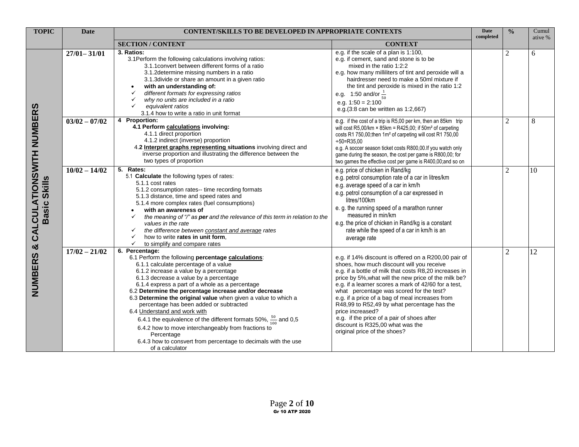| <b>TOPIC</b>                                                            | <b>Date</b>     | <b>CONTENT/SKILLS TO BE DEVELOPED IN APPROPRIATE CONTEXTS</b>                                                                                                                                                                                                                                                                                                                                                                                                                                                                                                                                                                                                                                        |                                                                                                                                                                                                                                                                                                                                                                                                                                                                                                                                                                 | Date<br>completed | $\frac{0}{0}$  | Cumul<br>ative % |
|-------------------------------------------------------------------------|-----------------|------------------------------------------------------------------------------------------------------------------------------------------------------------------------------------------------------------------------------------------------------------------------------------------------------------------------------------------------------------------------------------------------------------------------------------------------------------------------------------------------------------------------------------------------------------------------------------------------------------------------------------------------------------------------------------------------------|-----------------------------------------------------------------------------------------------------------------------------------------------------------------------------------------------------------------------------------------------------------------------------------------------------------------------------------------------------------------------------------------------------------------------------------------------------------------------------------------------------------------------------------------------------------------|-------------------|----------------|------------------|
|                                                                         |                 | <b>SECTION / CONTENT</b>                                                                                                                                                                                                                                                                                                                                                                                                                                                                                                                                                                                                                                                                             | <b>CONTEXT</b>                                                                                                                                                                                                                                                                                                                                                                                                                                                                                                                                                  |                   |                |                  |
| TIONSWITH NUMBERS<br>Skills<br>CALCULA<br>Basic<br>×්<br><b>NUMBERS</b> | $27/01 - 31/01$ | 3. Ratios:<br>3.1 Perform the following calculations involving ratios:<br>3.1.1 convert between different forms of a ratio<br>3.1.2determine missing numbers in a ratio<br>3.1.3divide or share an amount in a given ratio<br>with an understanding of:<br>different formats for expressing ratios<br>why no units are included in a ratio<br>✓<br>✓<br>equivalent ratios<br>3.1.4 how to write a ratio in unit format                                                                                                                                                                                                                                                                               | e.g. if the scale of a plan is 1:100,<br>e.g. if cement, sand and stone is to be<br>mixed in the ratio 1:2:2<br>e.g. how many milliliters of tint and peroxide will a<br>hairdresser need to make a 50ml mixture if<br>the tint and peroxide is mixed in the ratio 1:2<br>e.g. 1:50 and/or $\frac{1}{50}$<br>e.g. $1:50 = 2:100$<br>e.g.(3:8 can be written as 1:2,667)                                                                                                                                                                                         |                   | $\overline{c}$ | 6                |
|                                                                         | $03/02 - 07/02$ | 4 Proportion:<br>4.1 Perform calculations involving:<br>4.1.1 direct proportion<br>4.1.2 indirect (inverse) proportion<br>4.2 Interpret graphs representing situations involving direct and<br>inverse proportion and illustrating the difference between the<br>two types of proportion                                                                                                                                                                                                                                                                                                                                                                                                             | e.g. if the cost of a trip is R5,00 per km, then an 85km trip<br>will cost R5,00/km $\times$ 85km = R425,00; if 50m <sup>2</sup> of carpeting<br>costs R1 750,00; then 1m <sup>2</sup> of carpeting will cost R1 750,00<br>$\div 50 = R35.00$<br>e.g. A soccer season ticket costs R800,00.If you watch only<br>game during the season, the cost per game is R800,00; for<br>two games the effective cost per game is R400,00;and so on                                                                                                                         |                   | $\overline{c}$ | 8                |
|                                                                         | $10/02 - 14/02$ | 5. Rates:<br>5.1 Calculate the following types of rates:<br>5.1.1 cost rates<br>5.1.2 consumption rates-- time recording formats<br>5.1.3 distance, time and speed rates and<br>5.1.4 more complex rates (fuel consumptions)<br>with an awareness of<br>the meaning of "/" as per and the relevance of this term in relation to the<br>$\checkmark$<br>values in the rate<br>the difference between constant and average rates<br>$\checkmark$<br>how to write rates in unit form,<br>✓<br>$\checkmark$<br>to simplify and compare rates                                                                                                                                                             | e.g. price of chicken in Rand/kg<br>e.g. petrol consumption rate of a car in litres/km<br>e.g. average speed of a car in km/h<br>e.g. petrol consumption of a car expressed in<br>litres/100km<br>e. g. the running speed of a marathon runner<br>measured in min/km<br>e.g. the price of chicken in Rand/kg is a constant<br>rate while the speed of a car in km/h is an<br>average rate                                                                                                                                                                       |                   | 2              | 10               |
|                                                                         | $17/02 - 21/02$ | 6. Percentage:<br>6.1 Perform the following percentage calculations:<br>6.1.1 calculate percentage of a value<br>6.1.2 increase a value by a percentage<br>6.1.3 decrease a value by a percentage<br>6.1.4 express a part of a whole as a percentage<br>6.2 Determine the percentage increase and/or decrease<br>6.3 Determine the original value when given a value to which a<br>percentage has been added or subtracted<br>6.4 Understand and work with<br>6.4.1 the equivalence of the different formats 50%, $\frac{50}{100}$ and 0,5<br>6.4.2 how to move interchangeably from fractions to<br>Percentage<br>6.4.3 how to consvert from percentage to decimals with the use<br>of a calculator | e.g. if 14% discount is offered on a R200,00 pair of<br>shoes, how much discount will you receive<br>e.g. if a bottle of milk that costs R8,20 increases in<br>price by 5%, what will the new price of the milk be?<br>e.g. if a learner scores a mark of 42/60 for a test,<br>what percentage was scored for the test?<br>e.g. if a price of a bag of meal increases from<br>R48,99 to R52,49 by what percentage has the<br>price increased?<br>e.g. if the price of a pair of shoes after<br>discount is R325,00 what was the<br>original price of the shoes? |                   | $\overline{2}$ | 12               |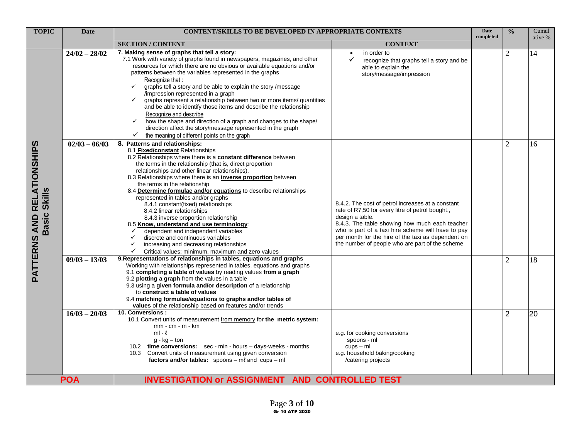| <b>TOPIC</b>                               | <b>Date</b>     | <b>CONTENT/SKILLS TO BE DEVELOPED IN APPROPRIATE CONTEXTS</b>                                                                                                                                                                                                                                                                                                                                                                                                                                                                                                                                                                                                                                                                                                                                                                         |                                                                                                                                                                                                                                                                                                                                           | <b>Date</b><br>completed | $\frac{0}{0}$  | Cumul<br>ative % |
|--------------------------------------------|-----------------|---------------------------------------------------------------------------------------------------------------------------------------------------------------------------------------------------------------------------------------------------------------------------------------------------------------------------------------------------------------------------------------------------------------------------------------------------------------------------------------------------------------------------------------------------------------------------------------------------------------------------------------------------------------------------------------------------------------------------------------------------------------------------------------------------------------------------------------|-------------------------------------------------------------------------------------------------------------------------------------------------------------------------------------------------------------------------------------------------------------------------------------------------------------------------------------------|--------------------------|----------------|------------------|
|                                            |                 | <b>SECTION / CONTENT</b>                                                                                                                                                                                                                                                                                                                                                                                                                                                                                                                                                                                                                                                                                                                                                                                                              | <b>CONTEXT</b>                                                                                                                                                                                                                                                                                                                            |                          |                |                  |
|                                            | $24/02 - 28/02$ | 7. Making sense of graphs that tell a story:<br>7.1 Work with variety of graphs found in newspapers, magazines, and other<br>resources for which there are no obvious or available equations and/or<br>patterns between the variables represented in the graphs<br>Recognize that:<br>graphs tell a story and be able to explain the story /message<br>$\checkmark$<br>/impression represented in a graph<br>graphs represent a relationship between two or more items/ quantities<br>$\checkmark$<br>and be able to identify those items and describe the relationship<br>Recognize and describe<br>how the shape and direction of a graph and changes to the shape/<br>$\checkmark$<br>direction affect the story/message represented in the graph<br>the meaning of different points on the graph<br>✓                             | in order to<br>$\bullet$<br>✓<br>recognize that graphs tell a story and be<br>able to explain the<br>story/message/impression                                                                                                                                                                                                             |                          | $\overline{2}$ | 14               |
| PATTERNS AND RELATIONSHIPS<br>Basic Skills | $02/03 - 06/03$ | 8. Patterns and relationships:<br>8.1 Fixed/constant Relationships<br>8.2 Relationships where there is a <b>constant difference</b> between<br>the terms in the relationship (that is, direct proportion<br>relationships and other linear relationships).<br>8.3 Relationships where there is an inverse proportion between<br>the terms in the relationship<br>8.4 Determine formulae and/or equations to describe relationships<br>represented in tables and/or graphs<br>8.4.1 constant(fixed) relationships<br>8.4.2 linear relationships<br>8.4.3 inverse proportion relationship<br>8.5 Know, understand and use terminology:<br>dependent and independent variables<br>discrete and continuous variables<br>$\checkmark$<br>increasing and decreasing relationships<br>✓<br>Critical values: minimum, maximum and zero values | 8.4.2. The cost of petrol increases at a constant<br>rate of R7,50 for every litre of petrol bought.,<br>design a table.<br>8.4.3. The table showing how much each teacher<br>who is part of a taxi hire scheme will have to pay<br>per month for the hire of the taxi as dependent on<br>the number of people who are part of the scheme |                          | $\overline{2}$ | 16               |
|                                            | $09/03 - 13/03$ | 9. Representations of relationships in tables, equations and graphs<br>Working with relationships represented in tables, equations and graphs<br>9.1 completing a table of values by reading values from a graph<br>9.2 plotting a graph from the values in a table<br>9.3 using a given formula and/or description of a relationship<br>to construct a table of values<br>9.4 matching formulae/equations to graphs and/or tables of<br>values of the relationship based on features and/or trends                                                                                                                                                                                                                                                                                                                                   |                                                                                                                                                                                                                                                                                                                                           |                          | $\overline{2}$ | 18               |
|                                            | $16/03 - 20/03$ | 10. Conversions:<br>10.1 Convert units of measurement from memory for the metric system:<br>$mm - cm - m - km$<br>$ml - l$<br>$q - kq - ton$<br>10.2 time conversions: sec - min - hours - days-weeks - months<br>10.3 Convert units of measurement using given conversion<br>factors and/or tables: $spoons - m\ell$ and $cups - ml$                                                                                                                                                                                                                                                                                                                                                                                                                                                                                                 | e.g. for cooking conversions<br>spoons - ml<br>$cups - ml$<br>e.g. household baking/cooking<br>/catering projects                                                                                                                                                                                                                         |                          | 2              | 20               |
|                                            | <b>POA</b>      | <b>INVESTIGATION or ASSIGNMENT AND CONTROLLED TEST</b>                                                                                                                                                                                                                                                                                                                                                                                                                                                                                                                                                                                                                                                                                                                                                                                |                                                                                                                                                                                                                                                                                                                                           |                          |                |                  |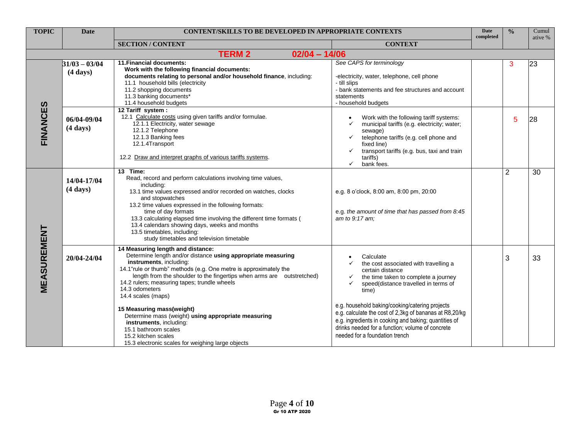| <b>TOPIC</b> | <b>Date</b>                             | <b>CONTENT/SKILLS TO BE DEVELOPED IN APPROPRIATE CONTEXTS</b>                                                                                                                                                                                                                                                                                                                                                                                                                                                                                                                         |                                                                                                                                                                                                                                                                                                                                                                                                                              | <b>Date</b><br>completed | $\frac{0}{0}$  | Cumul   |
|--------------|-----------------------------------------|---------------------------------------------------------------------------------------------------------------------------------------------------------------------------------------------------------------------------------------------------------------------------------------------------------------------------------------------------------------------------------------------------------------------------------------------------------------------------------------------------------------------------------------------------------------------------------------|------------------------------------------------------------------------------------------------------------------------------------------------------------------------------------------------------------------------------------------------------------------------------------------------------------------------------------------------------------------------------------------------------------------------------|--------------------------|----------------|---------|
|              |                                         | <b>SECTION / CONTENT</b>                                                                                                                                                                                                                                                                                                                                                                                                                                                                                                                                                              | <b>CONTEXT</b>                                                                                                                                                                                                                                                                                                                                                                                                               |                          |                | ative % |
|              |                                         | <b>TERM 2</b><br>$02/04 - 14/06$                                                                                                                                                                                                                                                                                                                                                                                                                                                                                                                                                      |                                                                                                                                                                                                                                                                                                                                                                                                                              |                          |                |         |
|              | $31/03 - 03/04$<br>$(4 \, \text{days})$ | 11. Financial documents:<br>Work with the following financial documents:<br>documents relating to personal and/or household finance, including:<br>11.1 household bills (electricity<br>11.2 shopping documents<br>11.3 banking documents*<br>11.4 household budgets<br>12 Tariff system:                                                                                                                                                                                                                                                                                             | See CAPS for terminology<br>-electricity, water, telephone, cell phone<br>- till slips<br>- bank statements and fee structures and account<br>statements<br>- household budgets                                                                                                                                                                                                                                              |                          | 3              | 23      |
| FINANCES     | 06/04-09/04<br>$(4 \text{ days})$       | 12.1 Calculate costs using given tariffs and/or formulae.<br>12.1.1 Electricity, water sewage<br>12.1.2 Telephone<br>12.1.3 Banking fees<br>12.1.4Transport<br>12.2 Draw and interpret graphs of various tariffs systems.                                                                                                                                                                                                                                                                                                                                                             | Work with the following tariff systems:<br>$\bullet$<br>municipal tariffs (e.g. electricity; water;<br>sewage)<br>telephone tariffs (e.g. cell phone and<br>✓<br>fixed line)<br>transport tariffs (e.g. bus, taxi and train<br>tariffs)<br>bank fees.<br>✓                                                                                                                                                                   |                          | 5              | 28      |
|              | 14/04-17/04<br>$(4 \text{ days})$       | 13 Time:<br>Read, record and perform calculations involving time values,<br>includina:<br>13.1 time values expressed and/or recorded on watches, clocks<br>and stopwatches<br>13.2 time values expressed in the following formats:<br>time of day formats<br>13.3 calculating elapsed time involving the different time formats (<br>13.4 calendars showing days, weeks and months<br>13.5 timetables, including:<br>study timetables and television timetable                                                                                                                        | e.g. 8 o'clock, 8:00 am, 8:00 pm, 20:00<br>e.g. the amount of time that has passed from 8:45<br>am to 9:17 am;                                                                                                                                                                                                                                                                                                               |                          | $\overline{2}$ | 30      |
| MEASUREMENT  | 20/04-24/04                             | 14 Measuring length and distance:<br>Determine length and/or distance using appropriate measuring<br>instruments, including:<br>14.1"rule or thumb" methods (e.g. One metre is approximately the<br>length from the shoulder to the fingertips when arms are outstretched)<br>14.2 rulers; measuring tapes; trundle wheels<br>14.3 odometers<br>14.4 scales (maps)<br>15 Measuring mass(weight)<br>Determine mass (weight) using appropriate measuring<br>instruments, including:<br>15.1 bathroom scales<br>15.2 kitchen scales<br>15.3 electronic scales for weighing large objects | Calculate<br>the cost associated with travelling a<br>certain distance<br>the time taken to complete a journey<br>speed(distance travelled in terms of<br>time)<br>e.g. household baking/cooking/catering projects<br>e.g. calculate the cost of 2,3kg of bananas at R8,20/kg<br>e.g. ingredients in cooking and baking; quantities of<br>drinks needed for a function; volume of concrete<br>needed for a foundation trench |                          | 3              | 33      |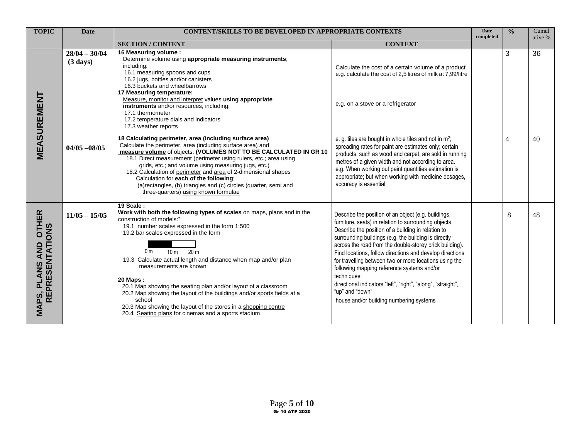| <b>TOPIC</b>                                                                  | <b>Date</b>                           | <b>CONTENT/SKILLS TO BE DEVELOPED IN APPROPRIATE CONTEXTS</b>                                                                                                                                                                                                                                                                                                                                                                                                                                                                                                                                                                                                       |                                                                                                                                                                                                                                                                                                                                                                                                                                                                                                                                                                                                        | <b>Date</b><br>completed | $\frac{0}{0}$ | Cumul<br>ative % |
|-------------------------------------------------------------------------------|---------------------------------------|---------------------------------------------------------------------------------------------------------------------------------------------------------------------------------------------------------------------------------------------------------------------------------------------------------------------------------------------------------------------------------------------------------------------------------------------------------------------------------------------------------------------------------------------------------------------------------------------------------------------------------------------------------------------|--------------------------------------------------------------------------------------------------------------------------------------------------------------------------------------------------------------------------------------------------------------------------------------------------------------------------------------------------------------------------------------------------------------------------------------------------------------------------------------------------------------------------------------------------------------------------------------------------------|--------------------------|---------------|------------------|
|                                                                               |                                       | <b>SECTION/CONTENT</b>                                                                                                                                                                                                                                                                                                                                                                                                                                                                                                                                                                                                                                              | <b>CONTEXT</b>                                                                                                                                                                                                                                                                                                                                                                                                                                                                                                                                                                                         |                          |               |                  |
| <b>MEASUREMENT</b>                                                            | $28/04 - 30/04$<br>$(3 \text{ days})$ | 16 Measuring volume:<br>Determine volume using appropriate measuring instruments,<br>including:<br>16.1 measuring spoons and cups<br>16.2 jugs, bottles and/or canisters<br>16.3 buckets and wheelbarrows<br>17 Measuring temperature:<br>Measure, monitor and interpret values using appropriate<br>instruments and/or resources, including:<br>17.1 thermometer<br>17.2 temperature dials and indicators<br>17.3 weather reports                                                                                                                                                                                                                                  | Calculate the cost of a certain volume of a product<br>e.g. calculate the cost of 2,5 litres of milk at 7,99/litre<br>e.g. on a stove or a refrigerator                                                                                                                                                                                                                                                                                                                                                                                                                                                |                          | 3             | 36               |
|                                                                               | $04/05 - 08/05$                       | 18 Calculating perimeter, area (including surface area)<br>Calculate the perimeter, area (including surface area) and<br>measure volume of objects: (VOLUMES NOT TO BE CALCULATED IN GR 10<br>18.1 Direct measurement (perimeter using rulers, etc.; area using<br>grids, etc.; and volume using measuring jugs, etc.)<br>18.2 Calculation of perimeter and area of 2-dimensional shapes<br>Calculation for each of the following:<br>(a)rectangles, (b) triangles and (c) circles (quarter, semi and<br>three-quarters) using known formulae                                                                                                                       | e. g. tiles are bought in whole tiles and not in m <sup>2</sup> ;<br>spreading rates for paint are estimates only; certain<br>products, such as wood and carpet, are sold in running<br>metres of a given width and not according to area.<br>e.g. When working out paint quantities estimation is<br>appropriate; but when working with medicine dosages,<br>accuracy is essential                                                                                                                                                                                                                    |                          | 4             | 40               |
| <b>OTHER</b><br><b>REPRESENTATIONS</b><br><b>AND</b><br><b>PLANS</b><br>MAPS, | $11/05 - 15/05$                       | $19$ Scale:<br>Work with both the following types of scales on maps, plans and in the<br>construction of models: <sup>+</sup><br>19.1 number scales expressed in the form 1:500<br>19.2 bar scales expressed in the form<br>10 <sub>m</sub><br>20 <sub>m</sub><br>0 m<br>19.3 Calculate actual length and distance when map and/or plan<br>measurements are known<br><b>20 Maps:</b><br>20.1 Map showing the seating plan and/or layout of a classroom<br>20.2 Map showing the layout of the buildings and/or sports fields at a<br>school<br>20.3 Map showing the layout of the stores in a shopping centre<br>20.4 Seating plans for cinemas and a sports stadium | Describe the position of an object (e.g. buildings,<br>furniture, seats) in relation to surrounding objects.<br>Describe the position of a building in relation to<br>surrounding buildings (e.g. the building is directly<br>across the road from the double-storey brick building).<br>Find locations, follow directions and develop directions<br>for travelling between two or more locations using the<br>following mapping reference systems and/or<br>techniques:<br>directional indicators "left", "right", "along", "straight",<br>"up" and "down"<br>house and/or building numbering systems |                          | 8             | 48               |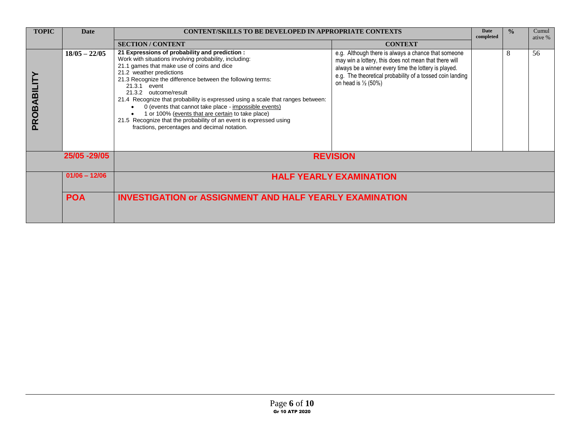| <b>TOPIC</b> | <b>Date</b>     | <b>CONTENT/SKILLS TO BE DEVELOPED IN APPROPRIATE CONTEXTS</b>                                                                                                                                                                                                                                                                                                                                                                                                                                                                                                                                                    |                                                                                                                                                                                                                                                                     | Date<br>completed | $\frac{0}{\alpha}$ | Cumul<br>ative % |  |  |
|--------------|-----------------|------------------------------------------------------------------------------------------------------------------------------------------------------------------------------------------------------------------------------------------------------------------------------------------------------------------------------------------------------------------------------------------------------------------------------------------------------------------------------------------------------------------------------------------------------------------------------------------------------------------|---------------------------------------------------------------------------------------------------------------------------------------------------------------------------------------------------------------------------------------------------------------------|-------------------|--------------------|------------------|--|--|
|              |                 | <b>SECTION/CONTENT</b>                                                                                                                                                                                                                                                                                                                                                                                                                                                                                                                                                                                           | <b>CONTEXT</b>                                                                                                                                                                                                                                                      |                   |                    |                  |  |  |
| PROBABILITY  | $18/05 - 22/05$ | 21 Expressions of probability and prediction :<br>Work with situations involving probability, including:<br>21.1 games that make use of coins and dice<br>21.2 weather predictions<br>21.3 Recognize the difference between the following terms:<br>21.3.1 event<br>21.3.2 outcome/result<br>21.4 Recognize that probability is expressed using a scale that ranges between:<br>0 (events that cannot take place - impossible events)<br>1 or 100% (events that are certain to take place)<br>21.5 Recognize that the probability of an event is expressed using<br>fractions, percentages and decimal notation. | e.g. Although there is always a chance that someone<br>may win a lottery, this does not mean that there will<br>always be a winner every time the lottery is played.<br>e.g. The theoretical probability of a tossed coin landing<br>on head is $\frac{1}{2}$ (50%) |                   | 8                  | 56               |  |  |
|              | 25/05 - 29/05   |                                                                                                                                                                                                                                                                                                                                                                                                                                                                                                                                                                                                                  | <b>REVISION</b>                                                                                                                                                                                                                                                     |                   |                    |                  |  |  |
|              | $01/06 - 12/06$ | <b>HALF YEARLY EXAMINATION</b>                                                                                                                                                                                                                                                                                                                                                                                                                                                                                                                                                                                   |                                                                                                                                                                                                                                                                     |                   |                    |                  |  |  |
|              | <b>POA</b>      | <b>INVESTIGATION or ASSIGNMENT AND HALF YEARLY EXAMINATION</b>                                                                                                                                                                                                                                                                                                                                                                                                                                                                                                                                                   |                                                                                                                                                                                                                                                                     |                   |                    |                  |  |  |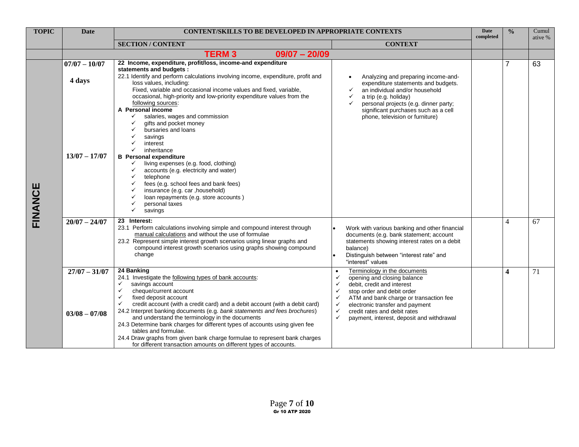| <b>TOPIC</b> | <b>Date</b>                        | <b>CONTENT/SKILLS TO BE DEVELOPED IN APPROPRIATE CONTEXTS</b>                                                                                                                                                                                                                                                                                                                                                                                                                                                                                                                                                                                  |                                                                                                                                                                                                                                                                                                                                                                             | <b>Date</b><br>completed | $\frac{0}{0}$           | Cumul<br>ative % |
|--------------|------------------------------------|------------------------------------------------------------------------------------------------------------------------------------------------------------------------------------------------------------------------------------------------------------------------------------------------------------------------------------------------------------------------------------------------------------------------------------------------------------------------------------------------------------------------------------------------------------------------------------------------------------------------------------------------|-----------------------------------------------------------------------------------------------------------------------------------------------------------------------------------------------------------------------------------------------------------------------------------------------------------------------------------------------------------------------------|--------------------------|-------------------------|------------------|
|              |                                    | <b>SECTION / CONTENT</b>                                                                                                                                                                                                                                                                                                                                                                                                                                                                                                                                                                                                                       | <b>CONTEXT</b>                                                                                                                                                                                                                                                                                                                                                              |                          |                         |                  |
|              |                                    | <b>TERM3</b><br>$09/07 - 20/09$                                                                                                                                                                                                                                                                                                                                                                                                                                                                                                                                                                                                                |                                                                                                                                                                                                                                                                                                                                                                             |                          |                         |                  |
|              | $07/07 - 10/07$<br>4 days          | 22 Income, expenditure, profit/loss, income-and expenditure<br>statements and budgets :<br>22.1 Identify and perform calculations involving income, expenditure, profit and<br>loss values, including:<br>Fixed, variable and occasional income values and fixed, variable,                                                                                                                                                                                                                                                                                                                                                                    | Analyzing and preparing income-and-<br>expenditure statements and budgets.<br>an individual and/or household<br>✓                                                                                                                                                                                                                                                           |                          | $\overline{7}$          | 63               |
| FINANCE      | $13/07 - 17/07$                    | occasional, high-priority and low-priority expenditure values from the<br>following sources:<br>A Personal income<br>salaries, wages and commission<br>✓<br>gifts and pocket money<br>✓<br>bursaries and loans<br>✓<br>✓<br>savings<br>interest<br>✓<br>inheritance<br><b>B</b> Personal expenditure<br>living expenses (e.g. food, clothing)<br>✓<br>accounts (e.g. electricity and water)<br>$\checkmark$<br>✓<br>telephone<br>fees (e.g. school fees and bank fees)<br>✓<br>insurance (e.g. car , household)<br>✓<br>loan repayments (e.g. store accounts)<br>$\checkmark$<br>personal taxes<br>$\checkmark$<br>savings                     | a trip (e.g. holiday)<br>✓<br>personal projects (e.g. dinner party;<br>✓<br>significant purchases such as a cell<br>phone, television or furniture)                                                                                                                                                                                                                         |                          |                         |                  |
|              | $20/07 - 24/07$                    | 23 Interest:<br>23.1 Perform calculations involving simple and compound interest through<br>manual calculations and without the use of formulae<br>23.2 Represent simple interest growth scenarios using linear graphs and<br>compound interest growth scenarios using graphs showing compound<br>change                                                                                                                                                                                                                                                                                                                                       | Work with various banking and other financial<br>documents (e.g. bank statement; account<br>statements showing interest rates on a debit<br>balance)<br>Distinguish between "interest rate" and<br>"interest" values                                                                                                                                                        |                          | $\overline{4}$          | 67               |
|              | $27/07 - 31/07$<br>$03/08 - 07/08$ | 24 Banking<br>24.1 Investigate the following types of bank accounts:<br>✓<br>savings account<br>$\checkmark$<br>cheque/current account<br>✓<br>fixed deposit account<br>credit account (with a credit card) and a debit account (with a debit card)<br>24.2 Interpret banking documents (e.g. bank statements and fees brochures)<br>and understand the terminology in the documents<br>24.3 Determine bank charges for different types of accounts using given fee<br>tables and formulae.<br>24.4 Draw graphs from given bank charge formulae to represent bank charges<br>for different transaction amounts on different types of accounts. | Terminology in the documents<br>opening and closing balance<br>✓<br>$\checkmark$<br>debit, credit and interest<br>stop order and debit order<br>$\checkmark$<br>ATM and bank charge or transaction fee<br>✓<br>electronic transfer and payment<br>$\checkmark$<br>$\checkmark$<br>credit rates and debit rates<br>$\checkmark$<br>payment, interest, deposit and withdrawal |                          | $\overline{\mathbf{4}}$ | 71               |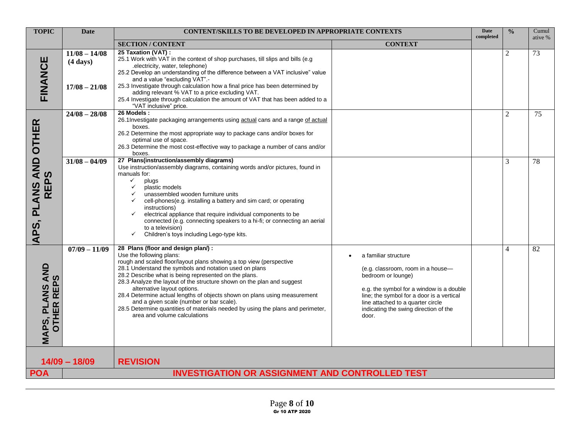| <b>TOPIC</b>                                                          | <b>Date</b>                                              |                                                                                                                                                                                                                                                                                                                                                                                                                                                                                                                                                                                                               | <b>CONTENT/SKILLS TO BE DEVELOPED IN APPROPRIATE CONTEXTS</b>                                                                                                                                                                                                   |           |                | Cumul<br>ative % |
|-----------------------------------------------------------------------|----------------------------------------------------------|---------------------------------------------------------------------------------------------------------------------------------------------------------------------------------------------------------------------------------------------------------------------------------------------------------------------------------------------------------------------------------------------------------------------------------------------------------------------------------------------------------------------------------------------------------------------------------------------------------------|-----------------------------------------------------------------------------------------------------------------------------------------------------------------------------------------------------------------------------------------------------------------|-----------|----------------|------------------|
|                                                                       |                                                          | <b>SECTION / CONTENT</b>                                                                                                                                                                                                                                                                                                                                                                                                                                                                                                                                                                                      | <b>CONTEXT</b>                                                                                                                                                                                                                                                  | completed |                |                  |
| FINANCE                                                               | $11/08 - 14/08$<br>$(4 \text{ days})$<br>$17/08 - 21/08$ | 25 Taxation (VAT) :<br>25.1 Work with VAT in the context of shop purchases, till slips and bills (e.g.<br>.electricity, water, telephone)<br>25.2 Develop an understanding of the difference between a VAT inclusive" value<br>and a value "excluding VAT".-<br>25.3 Investigate through calculation how a final price has been determined by<br>adding relevant % VAT to a price excluding VAT.<br>25.4 Investigate through calculation the amount of VAT that has been added to a<br>"VAT inclusive" price.                                                                                                 |                                                                                                                                                                                                                                                                 |           | $\overline{2}$ | 73               |
|                                                                       | $24/08 - 28/08$                                          | 26 Models:<br>26.1Investigate packaging arrangements using actual cans and a range of actual<br>boxes.<br>26.2 Determine the most appropriate way to package cans and/or boxes for<br>optimal use of space.<br>26.3 Determine the most cost-effective way to package a number of cans and/or<br>boxes.                                                                                                                                                                                                                                                                                                        |                                                                                                                                                                                                                                                                 |           | 2              | 75               |
| APS, PLANS AND OTHER<br><b>REPS</b>                                   | $31/08 - 04/09$                                          | 27 Plans(instruction/assembly diagrams)<br>Use instruction/assembly diagrams, containing words and/or pictures, found in<br>manuals for:<br>✓<br>plugs<br>plastic models<br>$\checkmark$<br>unassembled wooden furniture units<br>$\checkmark$<br>cell-phones(e.g. installing a battery and sim card; or operating<br>$\checkmark$<br>instructions)<br>electrical appliance that require individual components to be<br>$\checkmark$<br>connected (e.g. connecting speakers to a hi-fi; or connecting an aerial<br>to a television)<br>Children's toys including Lego-type kits.<br>$\checkmark$              |                                                                                                                                                                                                                                                                 |           | 3              | 78               |
| <b>AND</b><br><b>REPS</b><br><b>ANS</b><br><b>OTHER</b><br>ᇍ<br>MAPS, | $07/09 - 11/09$                                          | 28 Plans (floor and design plan/):<br>Use the following plans:<br>rough and scaled floor/layout plans showing a top view (perspective<br>28.1 Understand the symbols and notation used on plans<br>28.2 Describe what is being represented on the plans.<br>28.3 Analyze the layout of the structure shown on the plan and suggest<br>alternative layout options.<br>28.4 Determine actual lengths of objects shown on plans using measurement<br>and a given scale (number or bar scale).<br>28.5 Determine quantities of materials needed by using the plans and perimeter,<br>area and volume calculations | a familiar structure<br>(e.g. classroom, room in a house-<br>bedroom or lounge)<br>e.g. the symbol for a window is a double<br>line; the symbol for a door is a vertical<br>line attached to a quarter circle<br>indicating the swing direction of the<br>door. |           | 4              | 82               |
|                                                                       | $14/09 - 18/09$                                          | <b>REVISION</b>                                                                                                                                                                                                                                                                                                                                                                                                                                                                                                                                                                                               |                                                                                                                                                                                                                                                                 |           |                |                  |
| <b>POA</b>                                                            |                                                          | <b>INVESTIGATION OR ASSIGNMENT AND CONTROLLED TEST</b>                                                                                                                                                                                                                                                                                                                                                                                                                                                                                                                                                        |                                                                                                                                                                                                                                                                 |           |                |                  |
|                                                                       |                                                          |                                                                                                                                                                                                                                                                                                                                                                                                                                                                                                                                                                                                               |                                                                                                                                                                                                                                                                 |           |                |                  |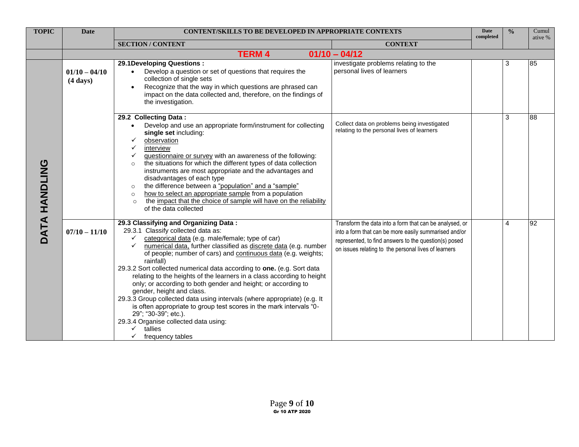| <b>TOPIC</b>  | <b>Date</b>                           | <b>CONTENT/SKILLS TO BE DEVELOPED IN APPROPRIATE CONTEXTS</b>                                                                                                                                                                                                                                                                                                                                                                                                                                                                                                                                                                                                                                                                                                                                                         |                                                                                                                                                                                                                                   | <b>Date</b><br>completed | $\frac{0}{0}$ | Cumul<br>ative % |
|---------------|---------------------------------------|-----------------------------------------------------------------------------------------------------------------------------------------------------------------------------------------------------------------------------------------------------------------------------------------------------------------------------------------------------------------------------------------------------------------------------------------------------------------------------------------------------------------------------------------------------------------------------------------------------------------------------------------------------------------------------------------------------------------------------------------------------------------------------------------------------------------------|-----------------------------------------------------------------------------------------------------------------------------------------------------------------------------------------------------------------------------------|--------------------------|---------------|------------------|
|               |                                       | <b>SECTION / CONTENT</b>                                                                                                                                                                                                                                                                                                                                                                                                                                                                                                                                                                                                                                                                                                                                                                                              | <b>CONTEXT</b>                                                                                                                                                                                                                    |                          |               |                  |
|               |                                       | <b>TERM 4</b>                                                                                                                                                                                                                                                                                                                                                                                                                                                                                                                                                                                                                                                                                                                                                                                                         | $01/10 - 04/12$                                                                                                                                                                                                                   |                          |               |                  |
| DATA HANDLING | $01/10 - 04/10$<br>$(4 \text{ days})$ | 29.1 Developing Questions:<br>Develop a question or set of questions that requires the<br>collection of single sets<br>Recognize that the way in which questions are phrased can<br>impact on the data collected and, therefore, on the findings of<br>the investigation.                                                                                                                                                                                                                                                                                                                                                                                                                                                                                                                                             | investigate problems relating to the<br>personal lives of learners                                                                                                                                                                |                          | 3             | 85               |
|               |                                       | 29.2 Collecting Data:<br>Develop and use an appropriate form/instrument for collecting<br>$\bullet$<br>single set including:<br>observation<br>$\checkmark$<br>interview<br>✓<br>questionnaire or survey with an awareness of the following:<br>✓<br>the situations for which the different types of data collection<br>$\circ$<br>instruments are most appropriate and the advantages and<br>disadvantages of each type<br>the difference between a "population" and a "sample"<br>$\circ$<br>how to select an appropriate sample from a population<br>$\circ$<br>the impact that the choice of sample will have on the reliability<br>$\circ$<br>of the data collected                                                                                                                                              | Collect data on problems being investigated<br>relating to the personal lives of learners                                                                                                                                         |                          | 3             | 88               |
|               | $07/10 - 11/10$                       | 29.3 Classifying and Organizing Data:<br>29.3.1 Classify collected data as:<br>categorical data (e.g. male/female; type of car)<br>✓<br>numerical data, further classified as discrete data (e.g. number<br>$\checkmark$<br>of people; number of cars) and continuous data (e.g. weights;<br>rainfall)<br>29.3.2 Sort collected numerical data according to one. (e.g. Sort data<br>relating to the heights of the learners in a class according to height<br>only; or according to both gender and height; or according to<br>gender, height and class.<br>29.3.3 Group collected data using intervals (where appropriate) (e.g. It<br>is often appropriate to group test scores in the mark intervals "0-<br>29"; "30-39"; etc.).<br>29.3.4 Organise collected data using:<br>tallies<br>✓<br>frequency tables<br>✓ | Transform the data into a form that can be analysed, or<br>into a form that can be more easily summarised and/or<br>represented, to find answers to the question(s) posed<br>on issues relating to the personal lives of learners |                          | 4             | 92               |